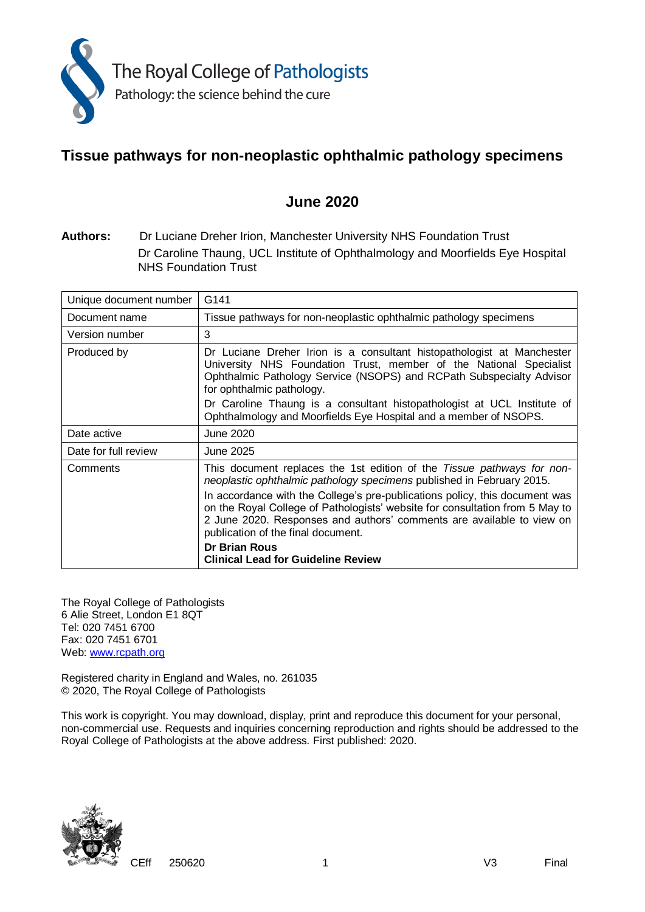

# **Tissue pathways for non-neoplastic ophthalmic pathology specimens**

# **June 2020**

**Authors:** Dr Luciane Dreher Irion, Manchester University NHS Foundation Trust Dr Caroline Thaung, UCL Institute of Ophthalmology and Moorfields Eye Hospital NHS Foundation Trust

| Unique document number                                                             | G141                                                                                                                                                                                                                                                                       |  |
|------------------------------------------------------------------------------------|----------------------------------------------------------------------------------------------------------------------------------------------------------------------------------------------------------------------------------------------------------------------------|--|
| Tissue pathways for non-neoplastic ophthalmic pathology specimens<br>Document name |                                                                                                                                                                                                                                                                            |  |
| Version number                                                                     | 3                                                                                                                                                                                                                                                                          |  |
| Produced by                                                                        | Dr Luciane Dreher Irion is a consultant histopathologist at Manchester<br>University NHS Foundation Trust, member of the National Specialist<br>Ophthalmic Pathology Service (NSOPS) and RCPath Subspecialty Advisor<br>for ophthalmic pathology.                          |  |
|                                                                                    | Dr Caroline Thaung is a consultant histopathologist at UCL Institute of<br>Ophthalmology and Moorfields Eye Hospital and a member of NSOPS.                                                                                                                                |  |
| Date active                                                                        | June 2020                                                                                                                                                                                                                                                                  |  |
| Date for full review                                                               | June 2025                                                                                                                                                                                                                                                                  |  |
| Comments                                                                           | This document replaces the 1st edition of the Tissue pathways for non-<br>neoplastic ophthalmic pathology specimens published in February 2015.                                                                                                                            |  |
|                                                                                    | In accordance with the College's pre-publications policy, this document was<br>on the Royal College of Pathologists' website for consultation from 5 May to<br>2 June 2020. Responses and authors' comments are available to view on<br>publication of the final document. |  |
|                                                                                    | <b>Dr Brian Rous</b><br><b>Clinical Lead for Guideline Review</b>                                                                                                                                                                                                          |  |

The Royal College of Pathologists 6 Alie Street, London E1 8QT Tel: 020 7451 6700 Fax: 020 7451 6701 Web: [www.rcpath.org](http://www.rcpath.org/)

Registered charity in England and Wales, no. 261035 © 2020, The Royal College of Pathologists

This work is copyright. You may download, display, print and reproduce this document for your personal, non-commercial use. Requests and inquiries concerning reproduction and rights should be addressed to the Royal College of Pathologists at the above address. First published: 2020.

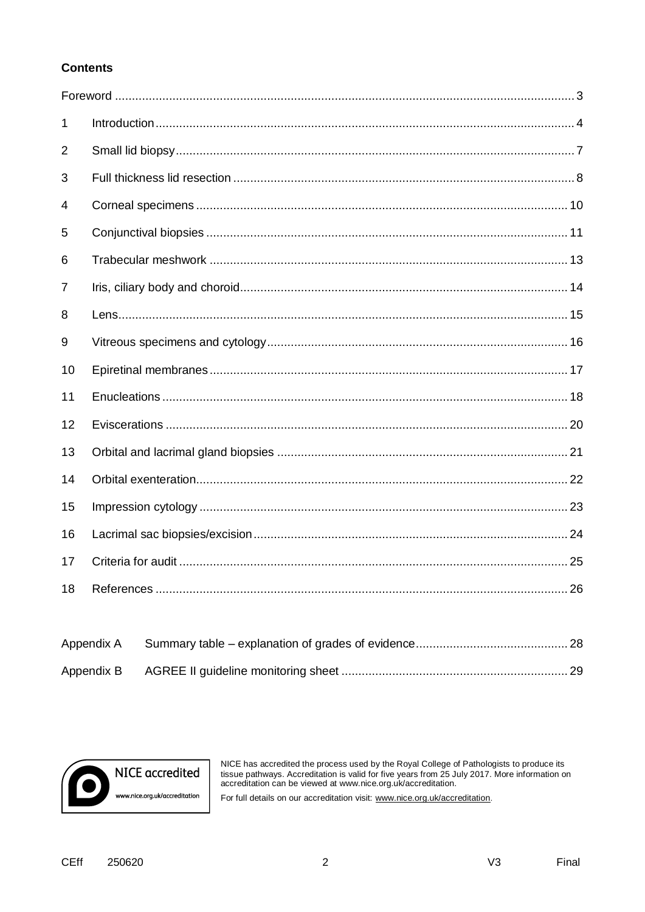## **Contents**

| 1  |  |
|----|--|
| 2  |  |
| 3  |  |
| 4  |  |
| 5  |  |
| 6  |  |
| 7  |  |
| 8  |  |
| 9  |  |
| 10 |  |
| 11 |  |
| 12 |  |
| 13 |  |
| 14 |  |
| 15 |  |
| 16 |  |
| 17 |  |
| 18 |  |

 $\overline{2}$ 



NICE has accredited the process used by the Royal College of Pathologists to produce its tissue pathways. Accreditation is valid for five years from 25 July 2017. More information on accreditation can be viewed at www.nice

For full details on our accreditation visit: www.nice.org.uk/accreditation.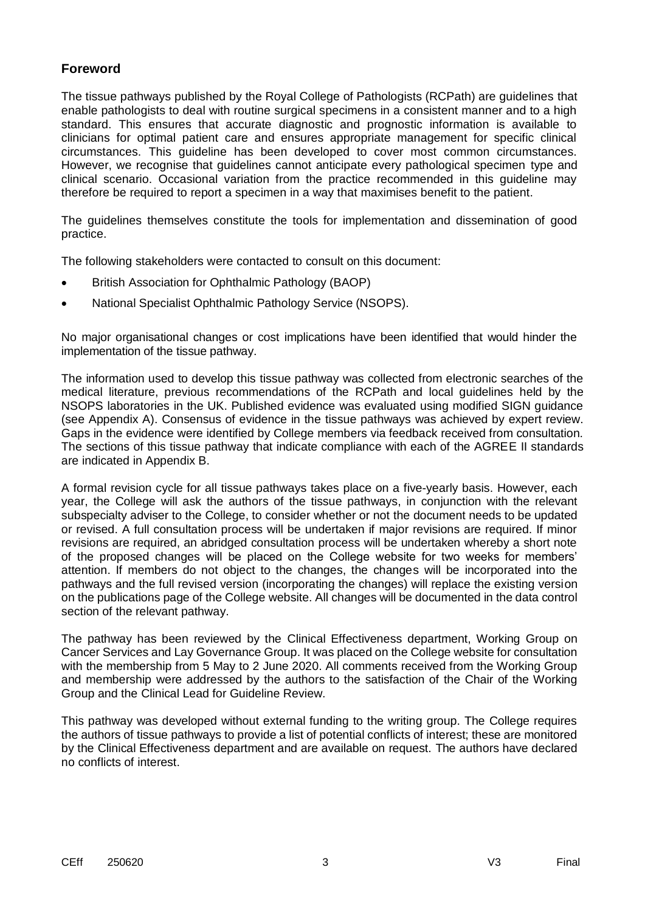# **Foreword**

The tissue pathways published by the Royal College of Pathologists (RCPath) are guidelines that enable pathologists to deal with routine surgical specimens in a consistent manner and to a high standard. This ensures that accurate diagnostic and prognostic information is available to clinicians for optimal patient care and ensures appropriate management for specific clinical circumstances. This guideline has been developed to cover most common circumstances. However, we recognise that guidelines cannot anticipate every pathological specimen type and clinical scenario. Occasional variation from the practice recommended in this guideline may therefore be required to report a specimen in a way that maximises benefit to the patient.

The guidelines themselves constitute the tools for implementation and dissemination of good practice.

The following stakeholders were contacted to consult on this document:

- British Association for Ophthalmic Pathology (BAOP)
- National Specialist Ophthalmic Pathology Service (NSOPS).

No major organisational changes or cost implications have been identified that would hinder the implementation of the tissue pathway.

The information used to develop this tissue pathway was collected from electronic searches of the medical literature, previous recommendations of the RCPath and local guidelines held by the NSOPS laboratories in the UK. Published evidence was evaluated using modified SIGN guidance (see Appendix A). Consensus of evidence in the tissue pathways was achieved by expert review. Gaps in the evidence were identified by College members via feedback received from consultation. The sections of this tissue pathway that indicate compliance with each of the AGREE II standards are indicated in Appendix B.

A formal revision cycle for all tissue pathways takes place on a five-yearly basis. However, each year, the College will ask the authors of the tissue pathways, in conjunction with the relevant subspecialty adviser to the College, to consider whether or not the document needs to be updated or revised. A full consultation process will be undertaken if major revisions are required. If minor revisions are required, an abridged consultation process will be undertaken whereby a short note of the proposed changes will be placed on the College website for two weeks for members' attention. If members do not object to the changes, the changes will be incorporated into the pathways and the full revised version (incorporating the changes) will replace the existing version on the publications page of the College website. All changes will be documented in the data control section of the relevant pathway.

The pathway has been reviewed by the Clinical Effectiveness department, Working Group on Cancer Services and Lay Governance Group. It was placed on the College website for consultation with the membership from 5 May to 2 June 2020. All comments received from the Working Group and membership were addressed by the authors to the satisfaction of the Chair of the Working Group and the Clinical Lead for Guideline Review.

This pathway was developed without external funding to the writing group. The College requires the authors of tissue pathways to provide a list of potential conflicts of interest; these are monitored by the Clinical Effectiveness department and are available on request. The authors have declared no conflicts of interest.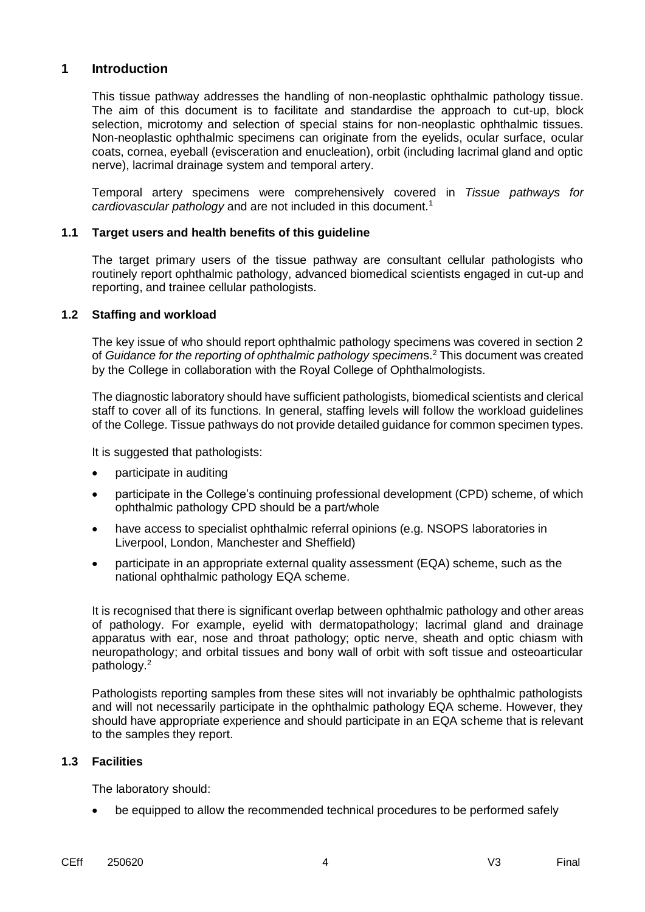# **1 Introduction**

This tissue pathway addresses the handling of non-neoplastic ophthalmic pathology tissue. The aim of this document is to facilitate and standardise the approach to cut-up, block selection, microtomy and selection of special stains for non-neoplastic ophthalmic tissues. Non-neoplastic ophthalmic specimens can originate from the eyelids, ocular surface, ocular coats, cornea, eyeball (evisceration and enucleation), orbit (including lacrimal gland and optic nerve), lacrimal drainage system and temporal artery.

Temporal artery specimens were comprehensively covered in *Tissue pathways for cardiovascular pathology* and are not included in this document.<sup>1</sup>

#### **1.1 Target users and health benefits of this guideline**

The target primary users of the tissue pathway are consultant cellular pathologists who routinely report ophthalmic pathology, advanced biomedical scientists engaged in cut-up and reporting, and trainee cellular pathologists.

#### **1.2 Staffing and workload**

The key issue of who should report ophthalmic pathology specimens was covered in section 2 of *Guidance for the reporting of ophthalmic pathology specimen*s.<sup>2</sup> This document was created by the College in collaboration with the Royal College of Ophthalmologists.

The diagnostic laboratory should have sufficient pathologists, biomedical scientists and clerical staff to cover all of its functions. In general, staffing levels will follow the workload guidelines of the College. Tissue pathways do not provide detailed guidance for common specimen types.

It is suggested that pathologists:

- participate in auditing
- participate in the College's continuing professional development (CPD) scheme, of which ophthalmic pathology CPD should be a part/whole
- have access to specialist ophthalmic referral opinions (e.g. NSOPS laboratories in Liverpool, London, Manchester and Sheffield)
- participate in an appropriate external quality assessment (EQA) scheme, such as the national ophthalmic pathology EQA scheme.

It is recognised that there is significant overlap between ophthalmic pathology and other areas of pathology. For example, eyelid with dermatopathology; lacrimal gland and drainage apparatus with ear, nose and throat pathology; optic nerve, sheath and optic chiasm with neuropathology; and orbital tissues and bony wall of orbit with soft tissue and osteoarticular pathology.<sup>2</sup>

Pathologists reporting samples from these sites will not invariably be ophthalmic pathologists and will not necessarily participate in the ophthalmic pathology EQA scheme. However, they should have appropriate experience and should participate in an EQA scheme that is relevant to the samples they report.

#### **1.3 Facilities**

The laboratory should:

be equipped to allow the recommended technical procedures to be performed safely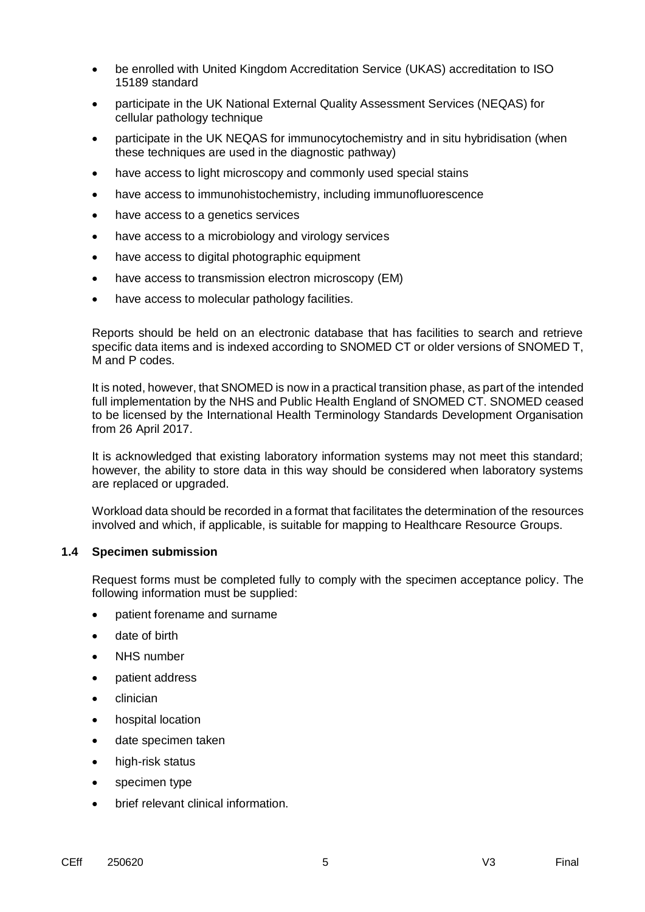- be enrolled with United Kingdom Accreditation Service (UKAS) accreditation to ISO 15189 standard
- participate in the UK National External Quality Assessment Services (NEQAS) for cellular pathology technique
- participate in the UK NEQAS for immunocytochemistry and in situ hybridisation (when these techniques are used in the diagnostic pathway)
- have access to light microscopy and commonly used special stains
- have access to immunohistochemistry, including immunofluorescence
- have access to a genetics services
- have access to a microbiology and virology services
- have access to digital photographic equipment
- have access to transmission electron microscopy (EM)
- have access to molecular pathology facilities.

Reports should be held on an electronic database that has facilities to search and retrieve specific data items and is indexed according to SNOMED CT or older versions of SNOMED T, M and P codes.

It is noted, however, that SNOMED is now in a practical transition phase, as part of the intended full implementation by the NHS and Public Health England of SNOMED CT. SNOMED ceased to be licensed by the International Health Terminology Standards Development Organisation from 26 April 2017.

It is acknowledged that existing laboratory information systems may not meet this standard; however, the ability to store data in this way should be considered when laboratory systems are replaced or upgraded.

Workload data should be recorded in a format that facilitates the determination of the resources involved and which, if applicable, is suitable for mapping to Healthcare Resource Groups.

#### **1.4 Specimen submission**

Request forms must be completed fully to comply with the specimen acceptance policy. The following information must be supplied:

- patient forename and surname
- date of birth
- NHS number
- patient address
- clinician
- hospital location
- date specimen taken
- high-risk status
- specimen type
- brief relevant clinical information.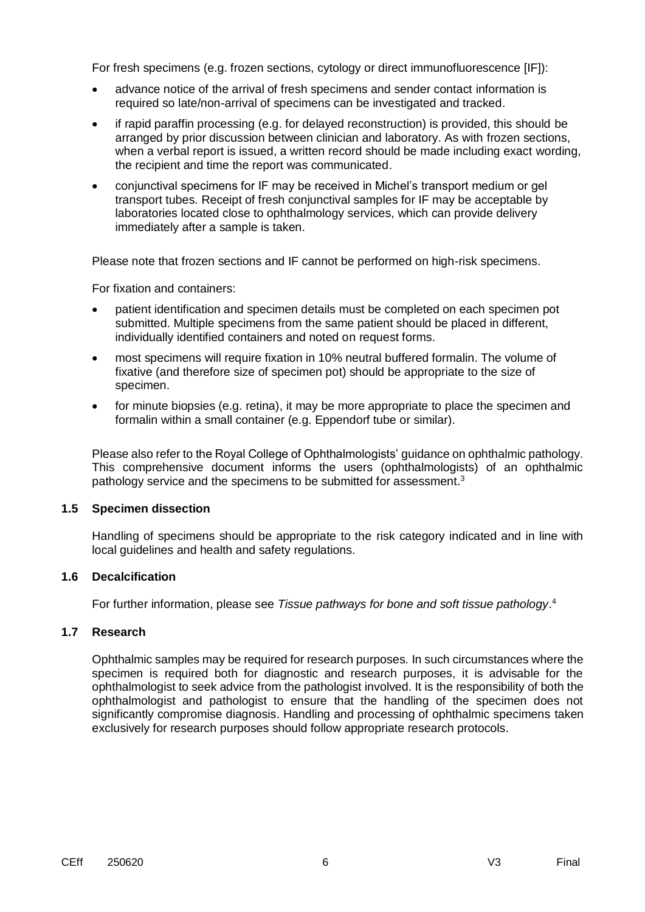For fresh specimens (e.g. frozen sections, cytology or direct immunofluorescence [IF]):

- advance notice of the arrival of fresh specimens and sender contact information is required so late/non-arrival of specimens can be investigated and tracked.
- if rapid paraffin processing (e.g. for delayed reconstruction) is provided, this should be arranged by prior discussion between clinician and laboratory. As with frozen sections, when a verbal report is issued, a written record should be made including exact wording, the recipient and time the report was communicated.
- conjunctival specimens for IF may be received in Michel's transport medium or gel transport tubes. Receipt of fresh conjunctival samples for IF may be acceptable by laboratories located close to ophthalmology services, which can provide delivery immediately after a sample is taken.

Please note that frozen sections and IF cannot be performed on high-risk specimens.

For fixation and containers:

- patient identification and specimen details must be completed on each specimen pot submitted. Multiple specimens from the same patient should be placed in different, individually identified containers and noted on request forms.
- most specimens will require fixation in 10% neutral buffered formalin. The volume of fixative (and therefore size of specimen pot) should be appropriate to the size of specimen.
- for minute biopsies (e.g. retina), it may be more appropriate to place the specimen and formalin within a small container (e.g. Eppendorf tube or similar).

Please also refer to the Royal College of Ophthalmologists' guidance on ophthalmic pathology. This comprehensive document informs the users (ophthalmologists) of an ophthalmic pathology service and the specimens to be submitted for assessment.<sup>3</sup>

#### **1.5 Specimen dissection**

Handling of specimens should be appropriate to the risk category indicated and in line with local guidelines and health and safety regulations.

#### **1.6 Decalcification**

For further information, please see *Tissue pathways for bone and soft tissue pathology*. 4

#### **1.7 Research**

Ophthalmic samples may be required for research purposes. In such circumstances where the specimen is required both for diagnostic and research purposes, it is advisable for the ophthalmologist to seek advice from the pathologist involved. It is the responsibility of both the ophthalmologist and pathologist to ensure that the handling of the specimen does not significantly compromise diagnosis. Handling and processing of ophthalmic specimens taken exclusively for research purposes should follow appropriate research protocols.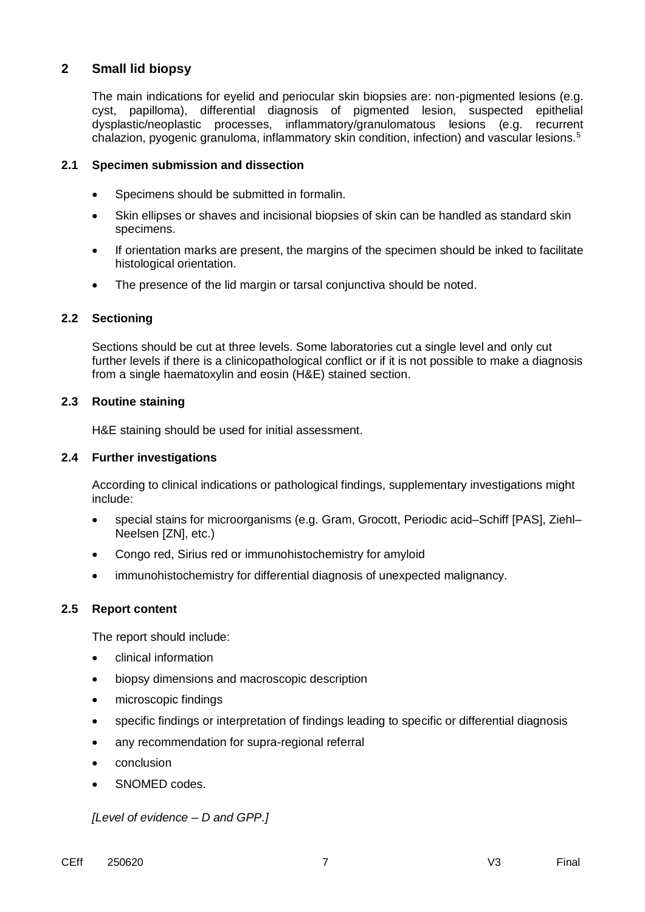# **2 Small lid biopsy**

The main indications for eyelid and periocular skin biopsies are: non-pigmented lesions (e.g. cyst, papilloma), differential diagnosis of pigmented lesion, suspected epithelial dysplastic/neoplastic processes, inflammatory/granulomatous lesions (e.g. recurrent chalazion, pyogenic granuloma, inflammatory skin condition, infection) and vascular lesions.<sup>5</sup>

#### **2.1 Specimen submission and dissection**

- Specimens should be submitted in formalin.
- Skin ellipses or shaves and incisional biopsies of skin can be handled as standard skin specimens.
- If orientation marks are present, the margins of the specimen should be inked to facilitate histological orientation.
- The presence of the lid margin or tarsal conjunctiva should be noted.

### **2.2 Sectioning**

Sections should be cut at three levels. Some laboratories cut a single level and only cut further levels if there is a clinicopathological conflict or if it is not possible to make a diagnosis from a single haematoxylin and eosin (H&E) stained section.

### **2.3 Routine staining**

H&E staining should be used for initial assessment.

#### **2.4 Further investigations**

According to clinical indications or pathological findings, supplementary investigations might include:

- special stains for microorganisms (e.g. Gram, Grocott, Periodic acid–Schiff [PAS], Ziehl– Neelsen [ZN], etc.)
- Congo red, Sirius red or immunohistochemistry for amyloid
- immunohistochemistry for differential diagnosis of unexpected malignancy.

#### **2.5 Report content**

The report should include:

- clinical information
- biopsy dimensions and macroscopic description
- microscopic findings
- specific findings or interpretation of findings leading to specific or differential diagnosis
- any recommendation for supra-regional referral
- conclusion
- SNOMED codes.

*[Level of evidence – D and GPP.]*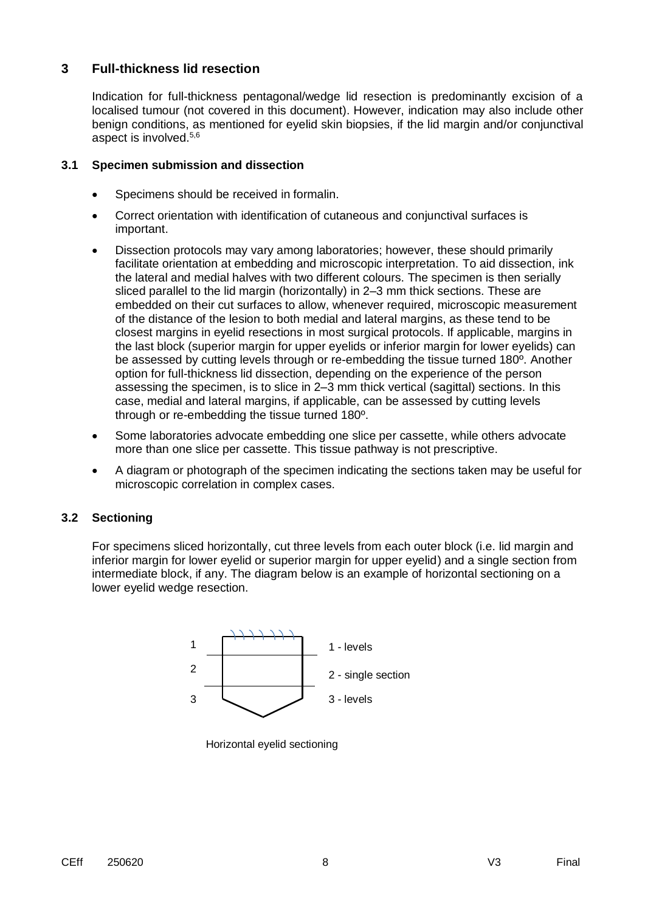# **3 Full-thickness lid resection**

Indication for full-thickness pentagonal/wedge lid resection is predominantly excision of a localised tumour (not covered in this document). However, indication may also include other benign conditions, as mentioned for eyelid skin biopsies, if the lid margin and/or conjunctival aspect is involved. 5,6

#### **3.1 Specimen submission and dissection**

- Specimens should be received in formalin.
- Correct orientation with identification of cutaneous and conjunctival surfaces is important.
- Dissection protocols may vary among laboratories; however, these should primarily facilitate orientation at embedding and microscopic interpretation. To aid dissection, ink the lateral and medial halves with two different colours. The specimen is then serially sliced parallel to the lid margin (horizontally) in 2–3 mm thick sections. These are embedded on their cut surfaces to allow, whenever required, microscopic measurement of the distance of the lesion to both medial and lateral margins, as these tend to be closest margins in eyelid resections in most surgical protocols. If applicable, margins in the last block (superior margin for upper eyelids or inferior margin for lower eyelids) can be assessed by cutting levels through or re-embedding the tissue turned 180º. Another option for full-thickness lid dissection, depending on the experience of the person assessing the specimen, is to slice in 2–3 mm thick vertical (sagittal) sections. In this case, medial and lateral margins, if applicable, can be assessed by cutting levels through or re-embedding the tissue turned 180º.
- Some laboratories advocate embedding one slice per cassette, while others advocate more than one slice per cassette. This tissue pathway is not prescriptive.
- A diagram or photograph of the specimen indicating the sections taken may be useful for microscopic correlation in complex cases.

# **3.2 Sectioning**

For specimens sliced horizontally, cut three levels from each outer block (i.e. lid margin and inferior margin for lower eyelid or superior margin for upper eyelid) and a single section from intermediate block, if any. The diagram below is an example of horizontal sectioning on a lower eyelid wedge resection.



Horizontal eyelid sectioning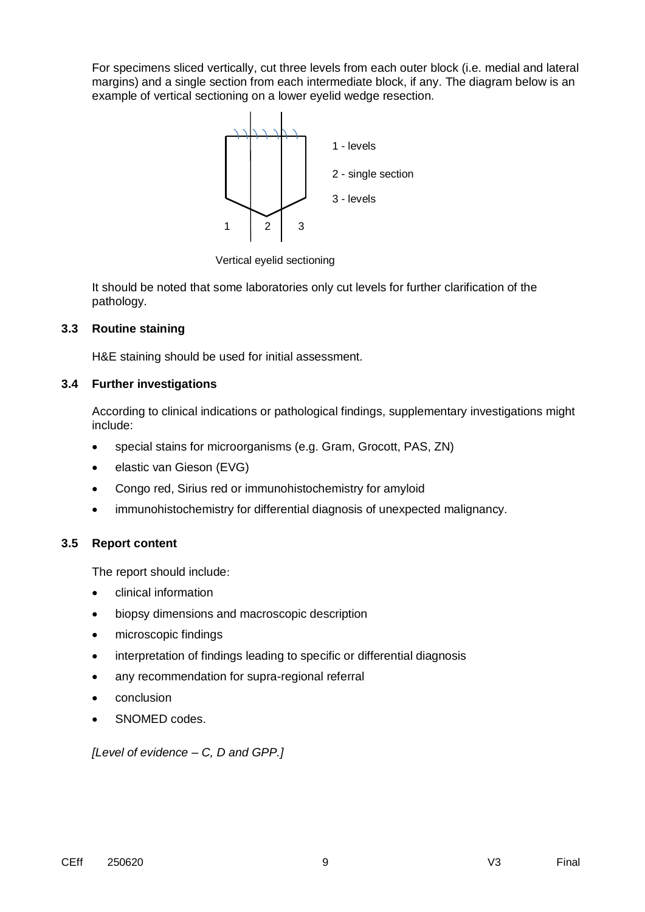For specimens sliced vertically, cut three levels from each outer block (i.e. medial and lateral margins) and a single section from each intermediate block, if any. The diagram below is an example of vertical sectioning on a lower eyelid wedge resection.



Vertical eyelid sectioning

It should be noted that some laboratories only cut levels for further clarification of the pathology.

### **3.3 Routine staining**

H&E staining should be used for initial assessment.

### **3.4 Further investigations**

According to clinical indications or pathological findings, supplementary investigations might include:

- special stains for microorganisms (e.g. Gram, Grocott, PAS, ZN)
- elastic van Gieson (EVG)
- Congo red, Sirius red or immunohistochemistry for amyloid
- immunohistochemistry for differential diagnosis of unexpected malignancy.

# **3.5 Report content**

The report should include

- clinical information
- biopsy dimensions and macroscopic description
- microscopic findings
- interpretation of findings leading to specific or differential diagnosis
- any recommendation for supra-regional referral
- conclusion
- SNOMED codes.

*[Level of evidence – C, D and GPP.]*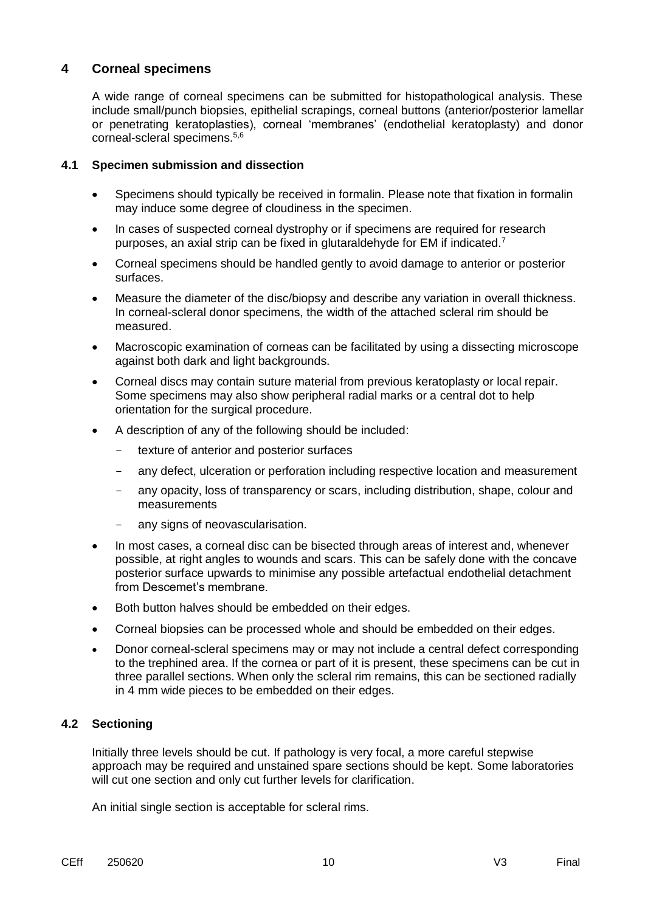# **4 Corneal specimens**

A wide range of corneal specimens can be submitted for histopathological analysis. These include small/punch biopsies, epithelial scrapings, corneal buttons (anterior/posterior lamellar or penetrating keratoplasties), corneal 'membranes' (endothelial keratoplasty) and donor corneal-scleral specimens.5,6

### **4.1 Specimen submission and dissection**

- Specimens should typically be received in formalin. Please note that fixation in formalin may induce some degree of cloudiness in the specimen.
- In cases of suspected corneal dystrophy or if specimens are required for research purposes, an axial strip can be fixed in glutaraldehyde for EM if indicated.<sup>7</sup>
- Corneal specimens should be handled gently to avoid damage to anterior or posterior surfaces.
- Measure the diameter of the disc/biopsy and describe any variation in overall thickness. In corneal-scleral donor specimens, the width of the attached scleral rim should be measured.
- Macroscopic examination of corneas can be facilitated by using a dissecting microscope against both dark and light backgrounds.
- Corneal discs may contain suture material from previous keratoplasty or local repair. Some specimens may also show peripheral radial marks or a central dot to help orientation for the surgical procedure.
- A description of any of the following should be included:
	- texture of anterior and posterior surfaces
	- any defect, ulceration or perforation including respective location and measurement
	- any opacity, loss of transparency or scars, including distribution, shape, colour and measurements
	- any signs of neovascularisation.
- In most cases, a corneal disc can be bisected through areas of interest and, whenever possible, at right angles to wounds and scars. This can be safely done with the concave posterior surface upwards to minimise any possible artefactual endothelial detachment from Descemet's membrane.
- Both button halves should be embedded on their edges.
- Corneal biopsies can be processed whole and should be embedded on their edges.
- Donor corneal-scleral specimens may or may not include a central defect corresponding to the trephined area. If the cornea or part of it is present, these specimens can be cut in three parallel sections. When only the scleral rim remains, this can be sectioned radially in 4 mm wide pieces to be embedded on their edges.

#### **4.2 Sectioning**

Initially three levels should be cut. If pathology is very focal, a more careful stepwise approach may be required and unstained spare sections should be kept. Some laboratories will cut one section and only cut further levels for clarification.

An initial single section is acceptable for scleral rims.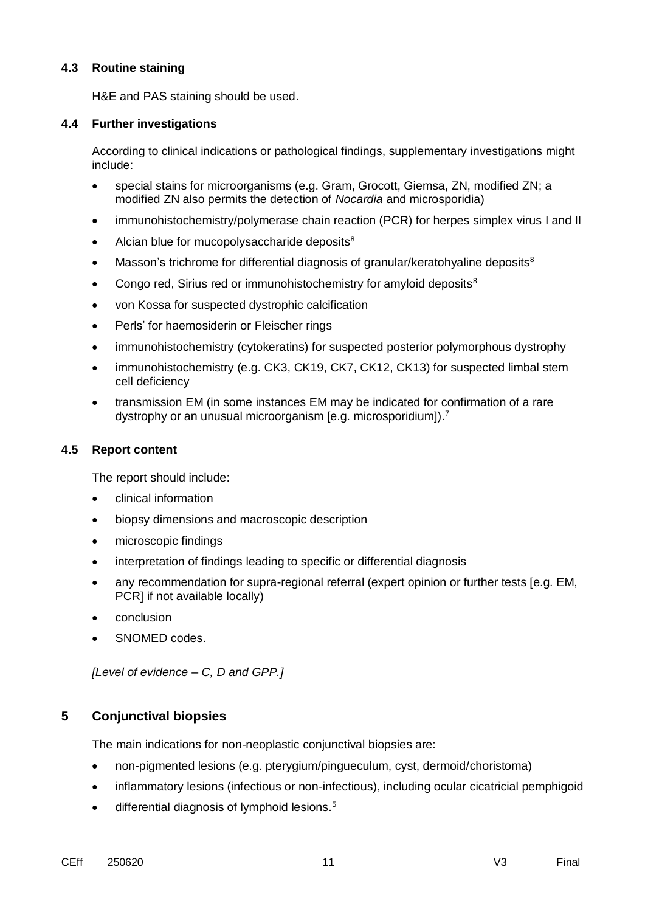## **4.3 Routine staining**

H&E and PAS staining should be used.

### **4.4 Further investigations**

According to clinical indications or pathological findings, supplementary investigations might include:

- special stains for microorganisms (e.g. Gram, Grocott, Giemsa, ZN, modified ZN; a modified ZN also permits the detection of *Nocardia* and microsporidia)
- immunohistochemistry/polymerase chain reaction (PCR) for herpes simplex virus I and II
- $\bullet$  Alcian blue for mucopolysaccharide deposits<sup>8</sup>
- $\bullet$  Masson's trichrome for differential diagnosis of granular/keratohyaline deposits<sup>8</sup>
- Congo red, Sirius red or immunohistochemistry for amyloid deposits<sup>8</sup>
- von Kossa for suspected dystrophic calcification
- Perls' for haemosiderin or Fleischer rings
- immunohistochemistry (cytokeratins) for suspected posterior polymorphous dystrophy
- immunohistochemistry (e.g. CK3, CK19, CK7, CK12, CK13) for suspected limbal stem cell deficiency
- transmission EM (in some instances EM may be indicated for confirmation of a rare dystrophy or an unusual microorganism [e.g. microsporidium]).<sup>7</sup>

#### **4.5 Report content**

The report should include:

- clinical information
- biopsy dimensions and macroscopic description
- microscopic findings
- interpretation of findings leading to specific or differential diagnosis
- any recommendation for supra-regional referral (expert opinion or further tests [e.g. EM, PCRI if not available locally)
- conclusion
- SNOMED codes.

*[Level of evidence – C, D and GPP.]*

# **5 Conjunctival biopsies**

The main indications for non-neoplastic conjunctival biopsies are:

- non-pigmented lesions (e.g. pterygium/pingueculum, cyst, dermoid/choristoma)
- inflammatory lesions (infectious or non-infectious), including ocular cicatricial pemphigoid
- differential diagnosis of lymphoid lesions.<sup>5</sup>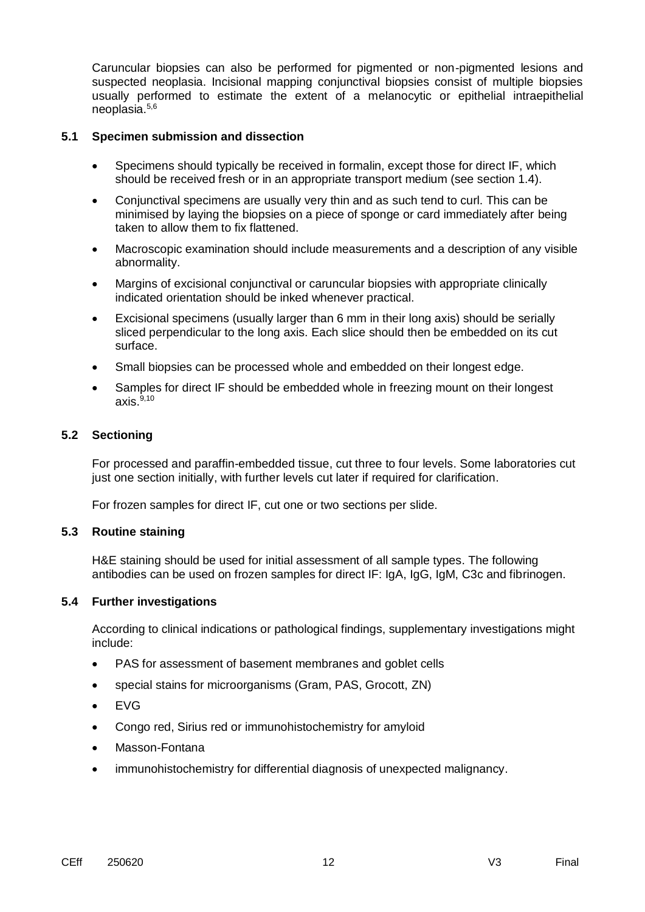Caruncular biopsies can also be performed for pigmented or non-pigmented lesions and suspected neoplasia. Incisional mapping conjunctival biopsies consist of multiple biopsies usually performed to estimate the extent of a melanocytic or epithelial intraepithelial neoplasia.5,6

#### **5.1 Specimen submission and dissection**

- Specimens should typically be received in formalin, except those for direct IF, which should be received fresh or in an appropriate transport medium (see section 1.4).
- Conjunctival specimens are usually very thin and as such tend to curl. This can be minimised by laying the biopsies on a piece of sponge or card immediately after being taken to allow them to fix flattened.
- Macroscopic examination should include measurements and a description of any visible abnormality.
- Margins of excisional conjunctival or caruncular biopsies with appropriate clinically indicated orientation should be inked whenever practical.
- Excisional specimens (usually larger than 6 mm in their long axis) should be serially sliced perpendicular to the long axis. Each slice should then be embedded on its cut surface.
- Small biopsies can be processed whole and embedded on their longest edge.
- Samples for direct IF should be embedded whole in freezing mount on their longest axis. $9,10$

### **5.2 Sectioning**

For processed and paraffin-embedded tissue, cut three to four levels. Some laboratories cut just one section initially, with further levels cut later if required for clarification.

For frozen samples for direct IF, cut one or two sections per slide.

#### **5.3 Routine staining**

H&E staining should be used for initial assessment of all sample types. The following antibodies can be used on frozen samples for direct IF: IgA, IgG, IgM, C3c and fibrinogen.

#### **5.4 Further investigations**

According to clinical indications or pathological findings, supplementary investigations might include:

- PAS for assessment of basement membranes and goblet cells
- special stains for microorganisms (Gram, PAS, Grocott, ZN)
- EVG
- Congo red, Sirius red or immunohistochemistry for amyloid
- Masson-Fontana
- immunohistochemistry for differential diagnosis of unexpected malignancy.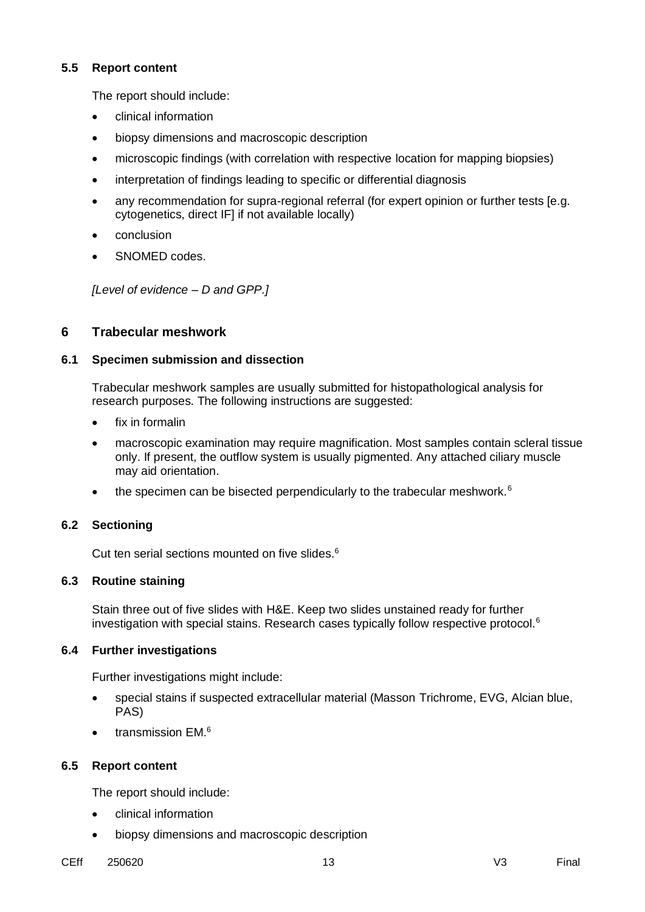#### **5.5 Report content**

The report should include:

- clinical information
- biopsy dimensions and macroscopic description
- microscopic findings (with correlation with respective location for mapping biopsies)
- interpretation of findings leading to specific or differential diagnosis
- any recommendation for supra-regional referral (for expert opinion or further tests [e.g. cytogenetics, direct IF] if not available locally)
- conclusion
- SNOMED codes.

*[Level of evidence – D and GPP.]*

# **6 Trabecular meshwork**

### **6.1 Specimen submission and dissection**

Trabecular meshwork samples are usually submitted for histopathological analysis for research purposes. The following instructions are suggested:

- fix in formalin
- macroscopic examination may require magnification. Most samples contain scleral tissue only. If present, the outflow system is usually pigmented. Any attached ciliary muscle may aid orientation.
- the specimen can be bisected perpendicularly to the trabecular meshwork.<sup>6</sup>

# **6.2 Sectioning**

Cut ten serial sections mounted on five slides. 6

# **6.3 Routine staining**

Stain three out of five slides with H&E. Keep two slides unstained ready for further investigation with special stains. Research cases typically follow respective protocol.<sup>6</sup>

# **6.4 Further investigations**

Further investigations might include:

- special stains if suspected extracellular material (Masson Trichrome, EVG, Alcian blue, PAS)
- transmission  $EM.^6$

# **6.5 Report content**

The report should include:

- clinical information
- biopsy dimensions and macroscopic description
- CEff 250620 13 V3 Final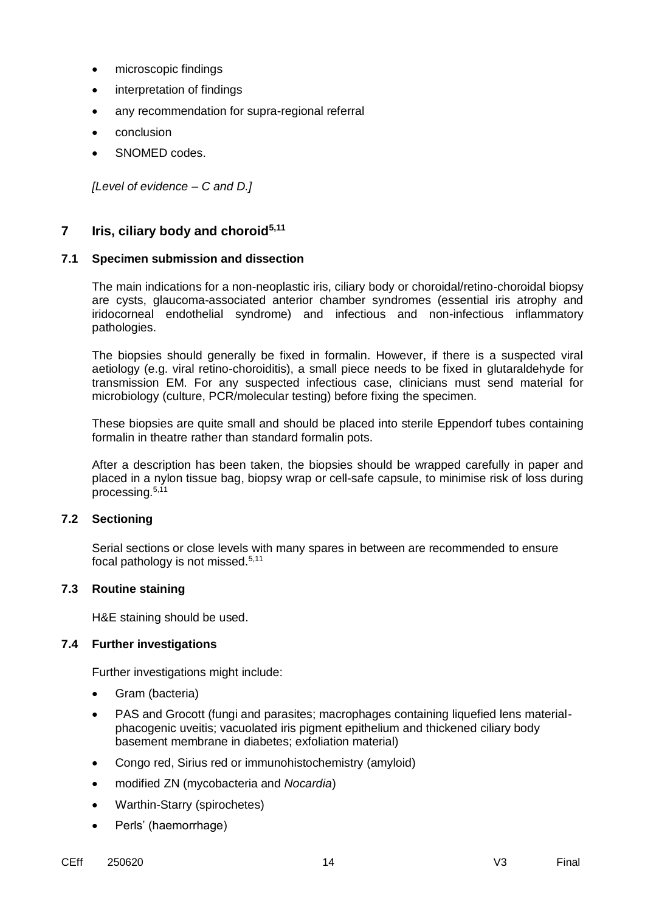- microscopic findings
- interpretation of findings
- any recommendation for supra-regional referral
- conclusion
- SNOMED codes.

*[Level of evidence – C and D.]*

## **7 Iris, ciliary body and choroid5,11**

#### **7.1 Specimen submission and dissection**

The main indications for a non-neoplastic iris, ciliary body or choroidal/retino-choroidal biopsy are cysts, glaucoma-associated anterior chamber syndromes (essential iris atrophy and iridocorneal endothelial syndrome) and infectious and non-infectious inflammatory pathologies.

The biopsies should generally be fixed in formalin. However, if there is a suspected viral aetiology (e.g. viral retino-choroiditis), a small piece needs to be fixed in glutaraldehyde for transmission EM. For any suspected infectious case, clinicians must send material for microbiology (culture, PCR/molecular testing) before fixing the specimen.

These biopsies are quite small and should be placed into sterile Eppendorf tubes containing formalin in theatre rather than standard formalin pots.

After a description has been taken, the biopsies should be wrapped carefully in paper and placed in a nylon tissue bag, biopsy wrap or cell-safe capsule, to minimise risk of loss during processing.<sup>5,11</sup>

#### **7.2 Sectioning**

Serial sections or close levels with many spares in between are recommended to ensure focal pathology is not missed.5,11

#### **7.3 Routine staining**

H&E staining should be used.

#### **7.4 Further investigations**

Further investigations might include:

- Gram (bacteria)
- PAS and Grocott (fungi and parasites; macrophages containing liquefied lens materialphacogenic uveitis; vacuolated iris pigment epithelium and thickened ciliary body basement membrane in diabetes; exfoliation material)
- Congo red, Sirius red or immunohistochemistry (amyloid)
- modified ZN (mycobacteria and *Nocardia*)
- Warthin-Starry (spirochetes)
- Perls' (haemorrhage)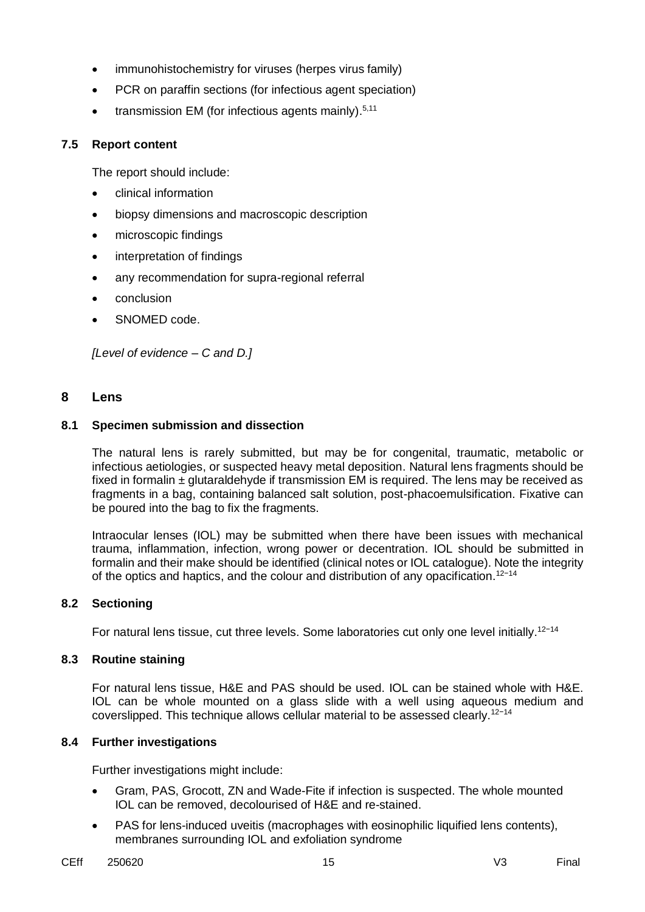- immunohistochemistry for viruses (herpes virus family)
- PCR on paraffin sections (for infectious agent speciation)
- transmission EM (for infectious agents mainly).<sup>5,11</sup>

#### **7.5 Report content**

The report should include:

- clinical information
- biopsy dimensions and macroscopic description
- microscopic findings
- interpretation of findings
- any recommendation for supra-regional referral
- conclusion
- SNOMED code.

*[Level of evidence – C and D.]*

#### **8 Lens**

#### **8.1 Specimen submission and dissection**

The natural lens is rarely submitted, but may be for congenital, traumatic, metabolic or infectious aetiologies, or suspected heavy metal deposition. Natural lens fragments should be fixed in formalin  $\pm$  glutaraldehyde if transmission EM is required. The lens may be received as fragments in a bag, containing balanced salt solution, post-phacoemulsification. Fixative can be poured into the bag to fix the fragments.

Intraocular lenses (IOL) may be submitted when there have been issues with mechanical trauma, inflammation, infection, wrong power or decentration. IOL should be submitted in formalin and their make should be identified (clinical notes or IOL catalogue). Note the integrity of the optics and haptics, and the colour and distribution of any opacification.<sup>12-14</sup>

#### **8.2 Sectioning**

For natural lens tissue, cut three levels. Some laboratories cut only one level initially.<sup>12-14</sup>

#### **8.3 Routine staining**

For natural lens tissue, H&E and PAS should be used. IOL can be stained whole with H&E. IOL can be whole mounted on a glass slide with a well using aqueous medium and coverslipped. This technique allows cellular material to be assessed clearly.12−14

#### **8.4 Further investigations**

Further investigations might include:

- Gram, PAS, Grocott, ZN and Wade-Fite if infection is suspected. The whole mounted IOL can be removed, decolourised of H&E and re-stained.
- PAS for lens-induced uveitis (macrophages with eosinophilic liquified lens contents), membranes surrounding IOL and exfoliation syndrome
- CEff 250620 15 V3 Final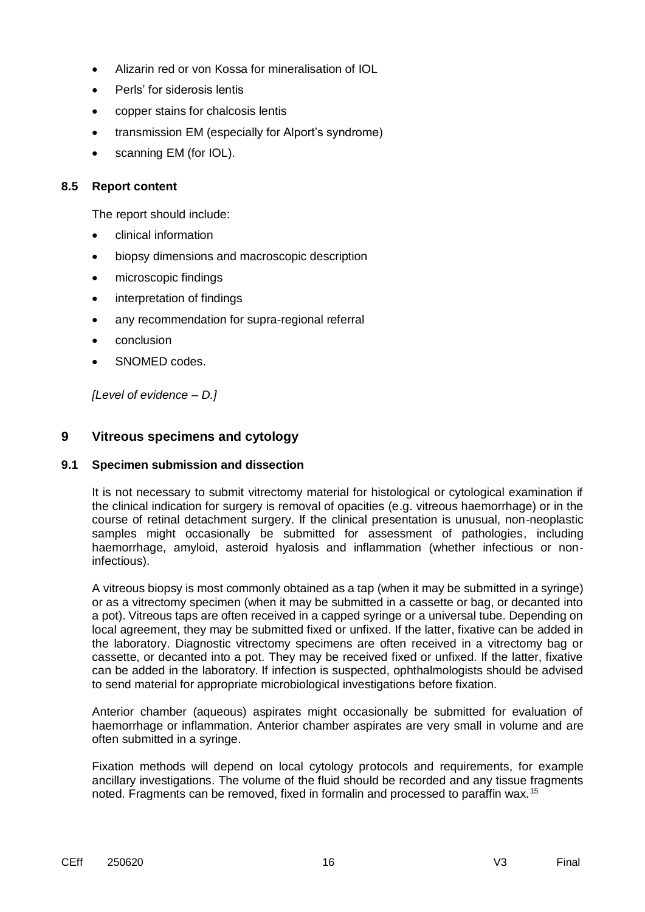- Alizarin red or von Kossa for mineralisation of IOL
- Perls' for siderosis lentis
- copper stains for chalcosis lentis
- transmission EM (especially for Alport's syndrome)
- scanning EM (for IOL).

#### **8.5 Report content**

The report should include:

- clinical information
- biopsy dimensions and macroscopic description
- microscopic findings
- interpretation of findings
- any recommendation for supra-regional referral
- conclusion
- SNOMED codes.

*[Level of evidence – D.]*

# **9 Vitreous specimens and cytology**

#### **9.1 Specimen submission and dissection**

It is not necessary to submit vitrectomy material for histological or cytological examination if the clinical indication for surgery is removal of opacities (e.g. vitreous haemorrhage) or in the course of retinal detachment surgery. If the clinical presentation is unusual, non-neoplastic samples might occasionally be submitted for assessment of pathologies, including haemorrhage, amyloid, asteroid hyalosis and inflammation (whether infectious or noninfectious).

A vitreous biopsy is most commonly obtained as a tap (when it may be submitted in a syringe) or as a vitrectomy specimen (when it may be submitted in a cassette or bag, or decanted into a pot). Vitreous taps are often received in a capped syringe or a universal tube. Depending on local agreement, they may be submitted fixed or unfixed. If the latter, fixative can be added in the laboratory. Diagnostic vitrectomy specimens are often received in a vitrectomy bag or cassette, or decanted into a pot. They may be received fixed or unfixed. If the latter, fixative can be added in the laboratory. If infection is suspected, ophthalmologists should be advised to send material for appropriate microbiological investigations before fixation.

Anterior chamber (aqueous) aspirates might occasionally be submitted for evaluation of haemorrhage or inflammation. Anterior chamber aspirates are very small in volume and are often submitted in a syringe.

Fixation methods will depend on local cytology protocols and requirements, for example ancillary investigations. The volume of the fluid should be recorded and any tissue fragments noted. Fragments can be removed, fixed in formalin and processed to paraffin wax.<sup>15</sup>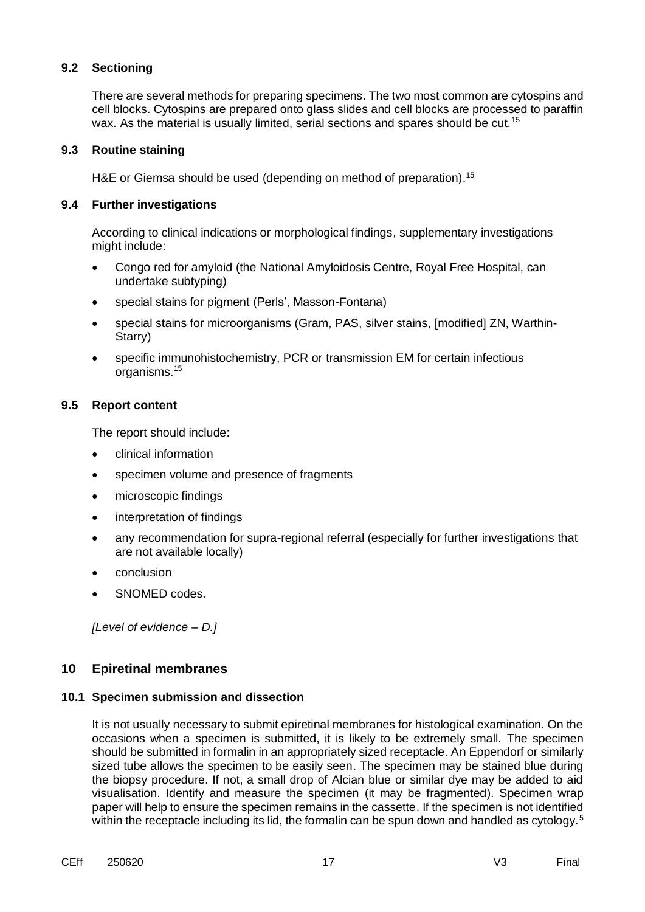There are several methods for preparing specimens. The two most common are cytospins and cell blocks. Cytospins are prepared onto glass slides and cell blocks are processed to paraffin wax. As the material is usually limited, serial sections and spares should be cut.<sup>15</sup>

#### **9.3 Routine staining**

H&E or Giemsa should be used (depending on method of preparation).<sup>15</sup>

### **9.4 Further investigations**

According to clinical indications or morphological findings, supplementary investigations might include:

- Congo red for amyloid (the National Amyloidosis Centre, Royal Free Hospital, can undertake subtyping)
- special stains for pigment (Perls', Masson-Fontana)
- special stains for microorganisms (Gram, PAS, silver stains, [modified] ZN, Warthin-Starry)
- specific immunohistochemistry, PCR or transmission EM for certain infectious organisms. 15

### **9.5 Report content**

The report should include:

- clinical information
- specimen volume and presence of fragments
- microscopic findings
- interpretation of findings
- any recommendation for supra-regional referral (especially for further investigations that are not available locally)
- conclusion
- SNOMED codes.

*[Level of evidence – D.]*

# **10 Epiretinal membranes**

#### **10.1 Specimen submission and dissection**

It is not usually necessary to submit epiretinal membranes for histological examination. On the occasions when a specimen is submitted, it is likely to be extremely small. The specimen should be submitted in formalin in an appropriately sized receptacle. An Eppendorf or similarly sized tube allows the specimen to be easily seen. The specimen may be stained blue during the biopsy procedure. If not, a small drop of Alcian blue or similar dye may be added to aid visualisation. Identify and measure the specimen (it may be fragmented). Specimen wrap paper will help to ensure the specimen remains in the cassette. If the specimen is not identified within the receptacle including its lid, the formalin can be spun down and handled as cytology.<sup>5</sup>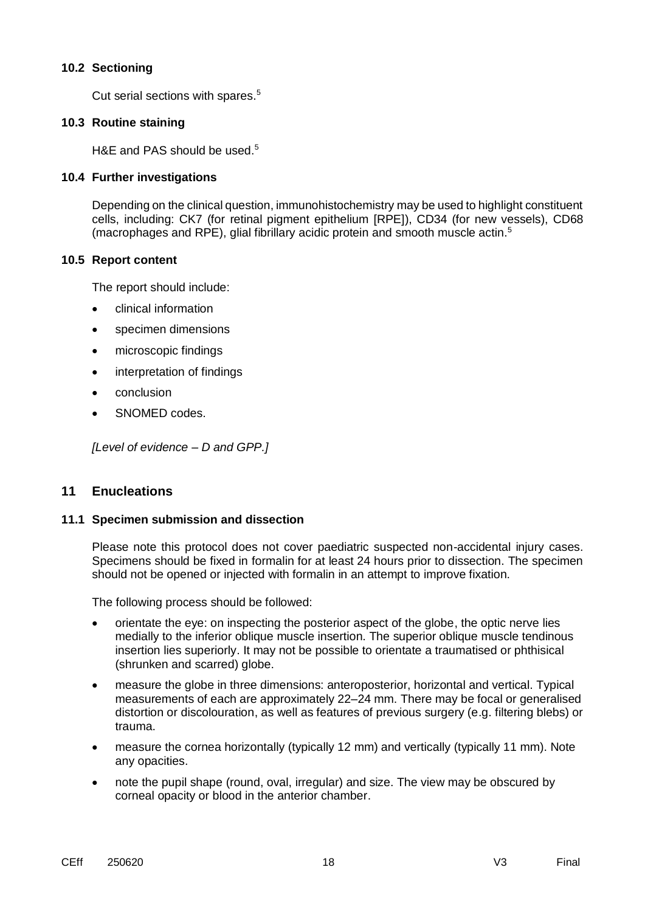Cut serial sections with spares.<sup>5</sup>

### **10.3 Routine staining**

H&E and PAS should be used.<sup>5</sup>

#### **10.4 Further investigations**

Depending on the clinical question, immunohistochemistry may be used to highlight constituent cells, including: CK7 (for retinal pigment epithelium [RPE]), CD34 (for new vessels), CD68 (macrophages and RPE), glial fibrillary acidic protein and smooth muscle actin. 5

#### **10.5 Report content**

The report should include:

- clinical information
- specimen dimensions
- microscopic findings
- interpretation of findings
- conclusion
- SNOMED codes.

*[Level of evidence – D and GPP.]*

# **11 Enucleations**

#### **11.1 Specimen submission and dissection**

Please note this protocol does not cover paediatric suspected non-accidental injury cases. Specimens should be fixed in formalin for at least 24 hours prior to dissection. The specimen should not be opened or injected with formalin in an attempt to improve fixation.

The following process should be followed:

- orientate the eye: on inspecting the posterior aspect of the globe, the optic nerve lies medially to the inferior oblique muscle insertion. The superior oblique muscle tendinous insertion lies superiorly. It may not be possible to orientate a traumatised or phthisical (shrunken and scarred) globe.
- measure the globe in three dimensions: anteroposterior, horizontal and vertical. Typical measurements of each are approximately 22–24 mm. There may be focal or generalised distortion or discolouration, as well as features of previous surgery (e.g. filtering blebs) or trauma.
- measure the cornea horizontally (typically 12 mm) and vertically (typically 11 mm). Note any opacities.
- note the pupil shape (round, oval, irregular) and size. The view may be obscured by corneal opacity or blood in the anterior chamber.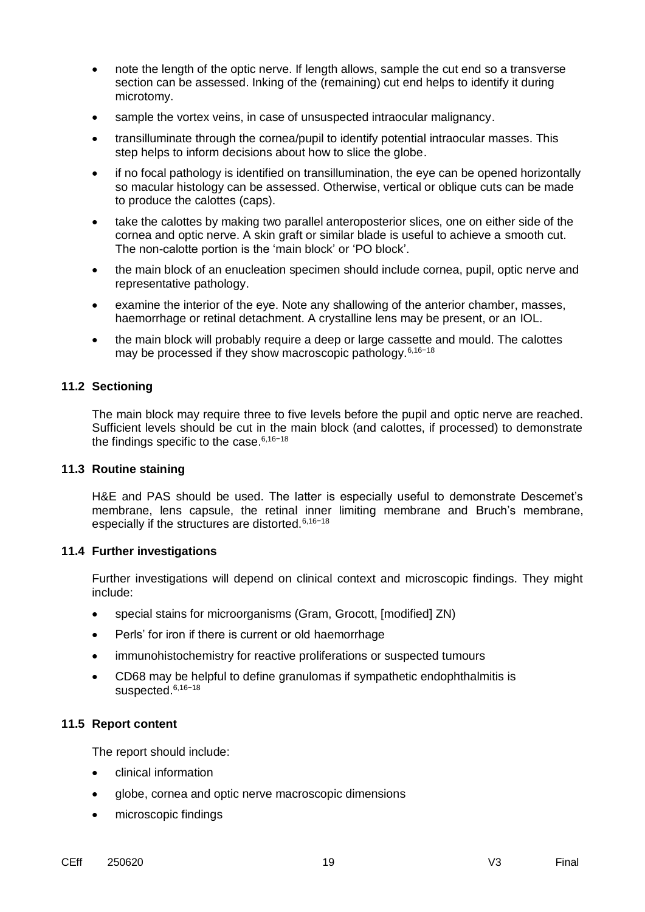- note the length of the optic nerve. If length allows, sample the cut end so a transverse section can be assessed. Inking of the (remaining) cut end helps to identify it during microtomy.
- sample the vortex veins, in case of unsuspected intraocular malignancy.
- transilluminate through the cornea/pupil to identify potential intraocular masses. This step helps to inform decisions about how to slice the globe.
- if no focal pathology is identified on transillumination, the eye can be opened horizontally so macular histology can be assessed. Otherwise, vertical or oblique cuts can be made to produce the calottes (caps).
- take the calottes by making two parallel anteroposterior slices, one on either side of the cornea and optic nerve. A skin graft or similar blade is useful to achieve a smooth cut. The non-calotte portion is the 'main block' or 'PO block'.
- the main block of an enucleation specimen should include cornea, pupil, optic nerve and representative pathology.
- examine the interior of the eye. Note any shallowing of the anterior chamber, masses, haemorrhage or retinal detachment. A crystalline lens may be present, or an IOL.
- the main block will probably require a deep or large cassette and mould. The calottes may be processed if they show macroscopic pathology.6,16−18

The main block may require three to five levels before the pupil and optic nerve are reached. Sufficient levels should be cut in the main block (and calottes, if processed) to demonstrate the findings specific to the case.6,16−18

#### **11.3 Routine staining**

H&E and PAS should be used. The latter is especially useful to demonstrate Descemet's membrane, lens capsule, the retinal inner limiting membrane and Bruch's membrane, especially if the structures are distorted.6,16−18

#### **11.4 Further investigations**

Further investigations will depend on clinical context and microscopic findings. They might include:

- special stains for microorganisms (Gram, Grocott, [modified] ZN)
- Perls' for iron if there is current or old haemorrhage
- immunohistochemistry for reactive proliferations or suspected tumours
- CD68 may be helpful to define granulomas if sympathetic endophthalmitis is suspected.<sup>6,16−18</sup>

#### **11.5 Report content**

The report should include:

- clinical information
- globe, cornea and optic nerve macroscopic dimensions
- microscopic findings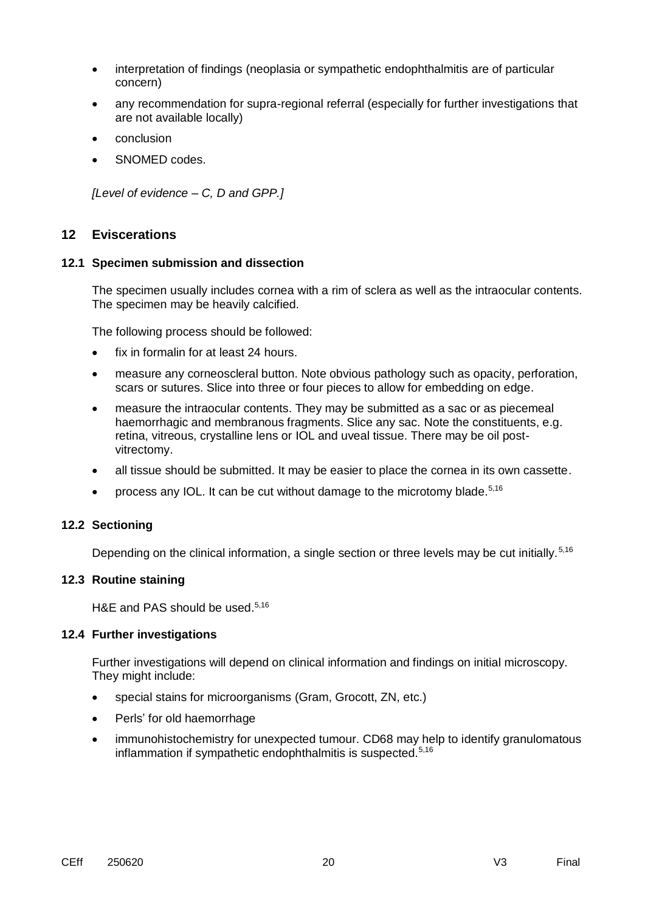- interpretation of findings (neoplasia or sympathetic endophthalmitis are of particular concern)
- any recommendation for supra-regional referral (especially for further investigations that are not available locally)
- conclusion
- SNOMED codes.

*[Level of evidence – C, D and GPP.]*

# **12 Eviscerations**

#### **12.1 Specimen submission and dissection**

The specimen usually includes cornea with a rim of sclera as well as the intraocular contents. The specimen may be heavily calcified.

The following process should be followed:

- fix in formalin for at least 24 hours.
- measure any corneoscleral button. Note obvious pathology such as opacity, perforation, scars or sutures. Slice into three or four pieces to allow for embedding on edge.
- measure the intraocular contents. They may be submitted as a sac or as piecemeal haemorrhagic and membranous fragments. Slice any sac. Note the constituents, e.g. retina, vitreous, crystalline lens or IOL and uveal tissue. There may be oil postvitrectomy.
- all tissue should be submitted. It may be easier to place the cornea in its own cassette.
- process any IOL. It can be cut without damage to the microtomy blade. $5,16$

#### **12.2 Sectioning**

Depending on the clinical information, a single section or three levels may be cut initially.<sup>5,16</sup>

#### **12.3 Routine staining**

H&E and PAS should be used.<sup>5,16</sup>

#### **12.4 Further investigations**

Further investigations will depend on clinical information and findings on initial microscopy. They might include:

- special stains for microorganisms (Gram, Grocott, ZN, etc.)
- Perls' for old haemorrhage
- immunohistochemistry for unexpected tumour. CD68 may help to identify granulomatous inflammation if sympathetic endophthalmitis is suspected.<sup>5,16</sup>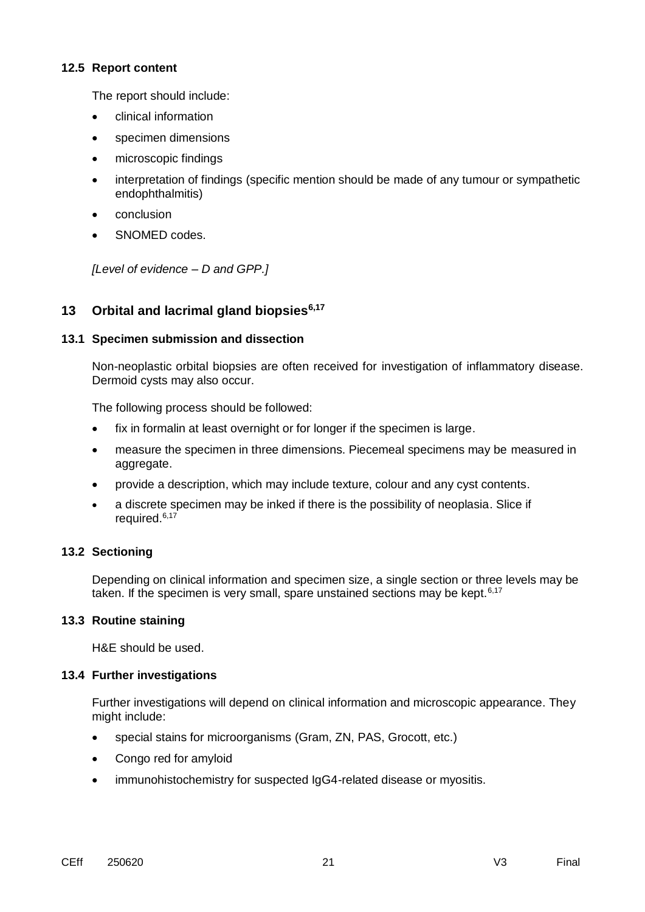#### **12.5 Report content**

The report should include:

- clinical information
- specimen dimensions
- microscopic findings
- interpretation of findings (specific mention should be made of any tumour or sympathetic endophthalmitis)
- conclusion
- SNOMED codes.

*[Level of evidence – D and GPP.]*

# **13 Orbital and lacrimal gland biopsies6,17**

# **13.1 Specimen submission and dissection**

Non-neoplastic orbital biopsies are often received for investigation of inflammatory disease. Dermoid cysts may also occur.

The following process should be followed:

- fix in formalin at least overnight or for longer if the specimen is large.
- measure the specimen in three dimensions. Piecemeal specimens may be measured in aggregate.
- provide a description, which may include texture, colour and any cyst contents.
- a discrete specimen may be inked if there is the possibility of neoplasia. Slice if required.<sup>6,17</sup>

# **13.2 Sectioning**

Depending on clinical information and specimen size, a single section or three levels may be taken. If the specimen is very small, spare unstained sections may be kept. $6,17$ 

# **13.3 Routine staining**

H&E should be used.

# **13.4 Further investigations**

Further investigations will depend on clinical information and microscopic appearance. They might include:

- special stains for microorganisms (Gram, ZN, PAS, Grocott, etc.)
- Congo red for amyloid
- immunohistochemistry for suspected IgG4-related disease or myositis.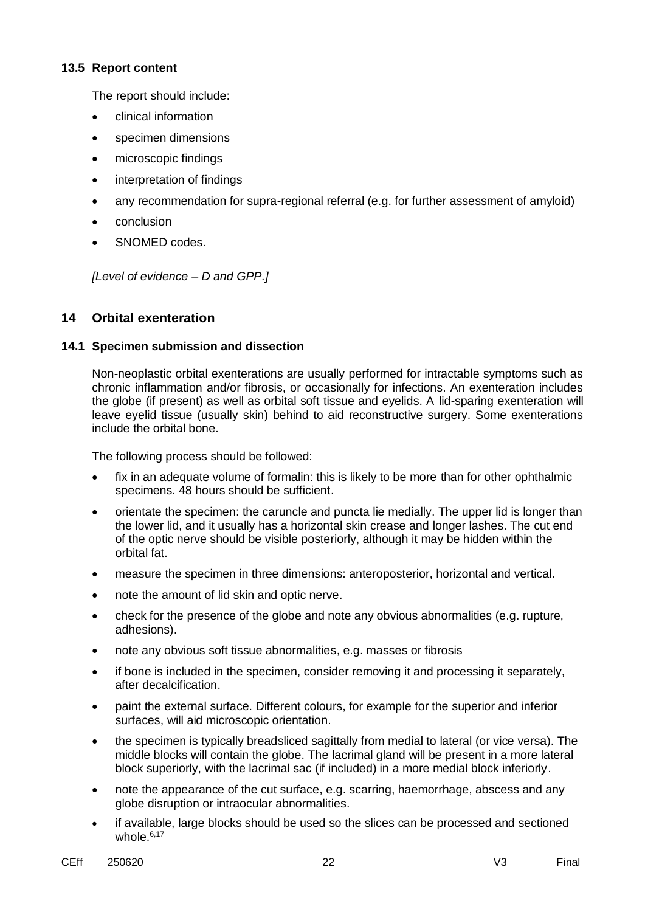#### **13.5 Report content**

The report should include:

- clinical information
- specimen dimensions
- microscopic findings
- interpretation of findings
- any recommendation for supra-regional referral (e.g. for further assessment of amyloid)
- conclusion
- SNOMED codes.

*[Level of evidence – D and GPP.]*

# **14 Orbital exenteration**

### **14.1 Specimen submission and dissection**

Non-neoplastic orbital exenterations are usually performed for intractable symptoms such as chronic inflammation and/or fibrosis, or occasionally for infections. An exenteration includes the globe (if present) as well as orbital soft tissue and eyelids. A lid-sparing exenteration will leave eyelid tissue (usually skin) behind to aid reconstructive surgery. Some exenterations include the orbital bone.

The following process should be followed:

- fix in an adequate volume of formalin: this is likely to be more than for other ophthalmic specimens. 48 hours should be sufficient.
- orientate the specimen: the caruncle and puncta lie medially. The upper lid is longer than the lower lid, and it usually has a horizontal skin crease and longer lashes. The cut end of the optic nerve should be visible posteriorly, although it may be hidden within the orbital fat.
- measure the specimen in three dimensions: anteroposterior, horizontal and vertical.
- note the amount of lid skin and optic nerve.
- check for the presence of the globe and note any obvious abnormalities (e.g. rupture, adhesions).
- note any obvious soft tissue abnormalities, e.g. masses or fibrosis
- if bone is included in the specimen, consider removing it and processing it separately, after decalcification.
- paint the external surface. Different colours, for example for the superior and inferior surfaces, will aid microscopic orientation.
- the specimen is typically breadsliced sagittally from medial to lateral (or vice versa). The middle blocks will contain the globe. The lacrimal gland will be present in a more lateral block superiorly, with the lacrimal sac (if included) in a more medial block inferiorly.
- note the appearance of the cut surface, e.g. scarring, haemorrhage, abscess and any globe disruption or intraocular abnormalities.
- if available, large blocks should be used so the slices can be processed and sectioned whole. $6,17$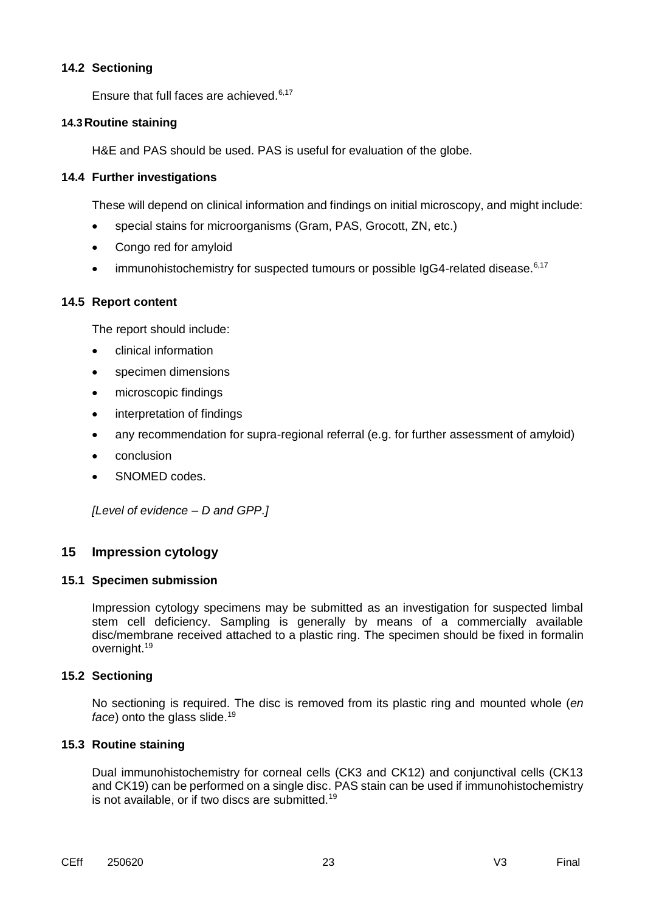Ensure that full faces are achieved.<sup>6,17</sup>

#### **14.3 Routine staining**

H&E and PAS should be used. PAS is useful for evaluation of the globe.

#### **14.4 Further investigations**

These will depend on clinical information and findings on initial microscopy, and might include:

- special stains for microorganisms (Gram, PAS, Grocott, ZN, etc.)
- Congo red for amyloid
- $\bullet$  immunohistochemistry for suspected tumours or possible IgG4-related disease.<sup>6,17</sup>

#### **14.5 Report content**

The report should include:

- clinical information
- specimen dimensions
- microscopic findings
- interpretation of findings
- any recommendation for supra-regional referral (e.g. for further assessment of amyloid)
- conclusion
- SNOMED codes.

*[Level of evidence – D and GPP.]*

#### **15 Impression cytology**

#### **15.1 Specimen submission**

Impression cytology specimens may be submitted as an investigation for suspected limbal stem cell deficiency. Sampling is generally by means of a commercially available disc/membrane received attached to a plastic ring. The specimen should be fixed in formalin overnight.<sup>19</sup>

#### **15.2 Sectioning**

No sectioning is required. The disc is removed from its plastic ring and mounted whole (*en face*) onto the glass slide.<sup>19</sup>

#### **15.3 Routine staining**

Dual immunohistochemistry for corneal cells (CK3 and CK12) and conjunctival cells (CK13 and CK19) can be performed on a single disc. PAS stain can be used if immunohistochemistry is not available, or if two discs are submitted.<sup>19</sup>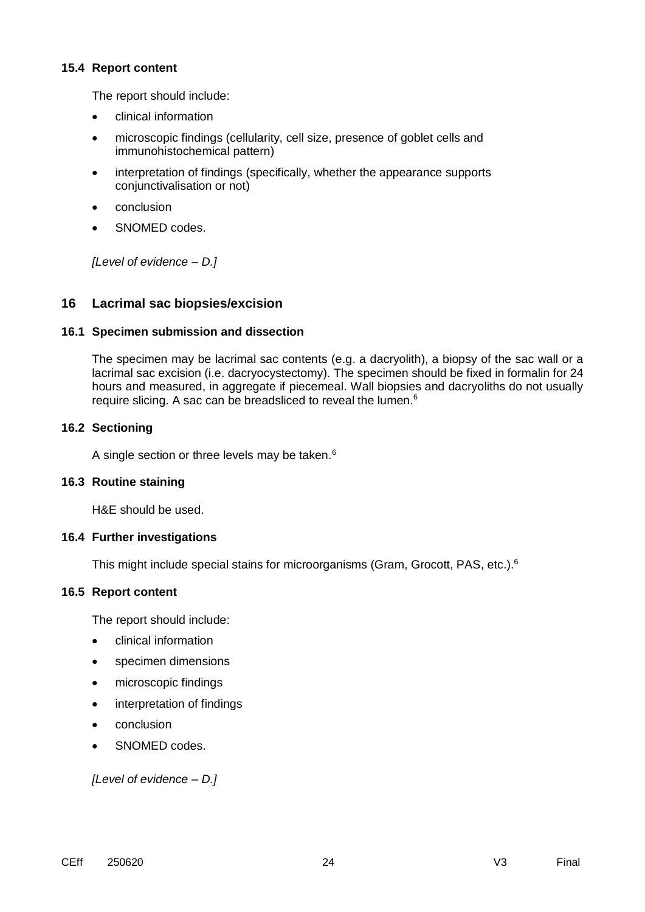#### **15.4 Report content**

The report should include:

- clinical information
- microscopic findings (cellularity, cell size, presence of goblet cells and immunohistochemical pattern)
- interpretation of findings (specifically, whether the appearance supports conjunctivalisation or not)
- conclusion
- SNOMED codes.

*[Level of evidence – D.]*

# **16 Lacrimal sac biopsies/excision**

### **16.1 Specimen submission and dissection**

The specimen may be lacrimal sac contents (e.g. a dacryolith), a biopsy of the sac wall or a lacrimal sac excision (i.e. dacryocystectomy). The specimen should be fixed in formalin for 24 hours and measured, in aggregate if piecemeal. Wall biopsies and dacryoliths do not usually require slicing. A sac can be breadsliced to reveal the lumen.<sup>6</sup>

### **16.2 Sectioning**

A single section or three levels may be taken.<sup>6</sup>

#### **16.3 Routine staining**

H&E should be used.

#### **16.4 Further investigations**

This might include special stains for microorganisms (Gram, Grocott, PAS, etc.).<sup>6</sup>

#### **16.5 Report content**

The report should include:

- **clinical information**
- specimen dimensions
- microscopic findings
- interpretation of findings
- conclusion
- SNOMED codes.

*[Level of evidence – D.]*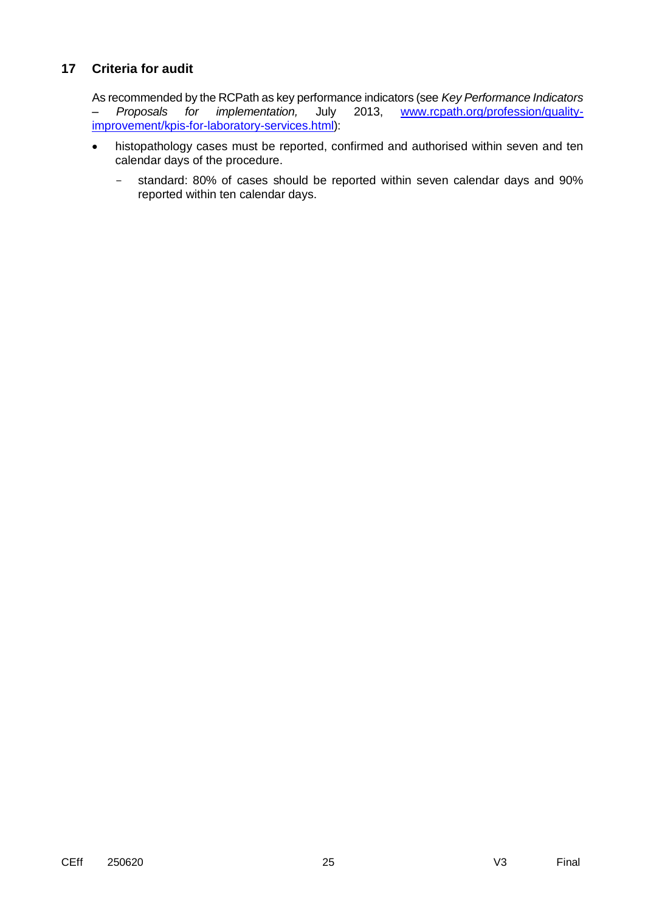# **17 Criteria for audit**

As recommended by the RCPath as key performance indicators (see *Key Performance Indicators – Proposals for implementation,* July 2013, [www.rcpath.org/profession/quality](file:///C:/Users/cmht/Downloads/www.rcpath.org/profession/quality-improvement/kpis-for-laboratory-services.html)[improvement/kpis-for-laboratory-services.html\)](file:///C:/Users/cmht/Downloads/www.rcpath.org/profession/quality-improvement/kpis-for-laboratory-services.html):

- histopathology cases must be reported, confirmed and authorised within seven and ten calendar days of the procedure.
	- standard: 80% of cases should be reported within seven calendar days and 90% reported within ten calendar days.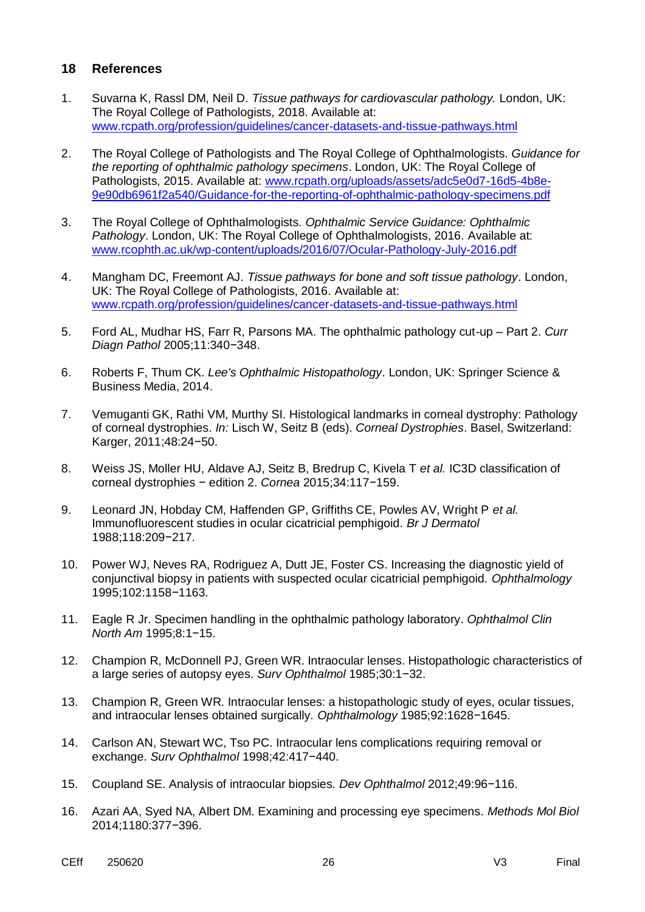## **18 References**

- 1. Suvarna K, Rassl DM, Neil D. *Tissue pathways for cardiovascular pathology.* London, UK: The Royal College of Pathologists*,* 2018. Available at: [www.rcpath.org/profession/guidelines/cancer-datasets-and-tissue-pathways.html](https://www.rcpath.org/profession/guidelines/cancer-datasets-and-tissue-pathways.html)
- 2. The Royal College of Pathologists and The Royal College of Ophthalmologists. *Guidance for the reporting of ophthalmic pathology specimens*. London, UK: The Royal College of Pathologists, 2015. Available at: [www.rcpath.org/uploads/assets/adc5e0d7-16d5-4b8e-](https://www.rcpath.org/uploads/assets/adc5e0d7-16d5-4b8e-9e90db6961f2a540/Guidance-for-the-reporting-of-ophthalmic-pathology-specimens.pdf)[9e90db6961f2a540/Guidance-for-the-reporting-of-ophthalmic-pathology-specimens.pdf](https://www.rcpath.org/uploads/assets/adc5e0d7-16d5-4b8e-9e90db6961f2a540/Guidance-for-the-reporting-of-ophthalmic-pathology-specimens.pdf)
- 3. The Royal College of Ophthalmologists. *Ophthalmic Service Guidance: Ophthalmic Pathology*. London, UK: The Royal College of Ophthalmologists, 2016. Available at: [www.rcophth.ac.uk/wp-content/uploads/2016/07/Ocular-Pathology-July-2016.pdf](https://www.rcophth.ac.uk/wp-content/uploads/2016/07/Ocular-Pathology-July-2016.pdf)
- 4. Mangham DC, Freemont AJ. *Tissue pathways for bone and soft tissue pathology*. London, UK: The Royal College of Pathologists, 2016. Available at: [www.rcpath.org/profession/guidelines/cancer-datasets-and-tissue-pathways.html](https://www.rcpath.org/profession/guidelines/cancer-datasets-and-tissue-pathways.html)
- 5. Ford AL, Mudhar HS, Farr R, Parsons MA. The ophthalmic pathology cut-up Part 2. *Curr Diagn Pathol* 2005;11:340−348.
- 6. Roberts F, Thum CK. *Lee's Ophthalmic Histopathology*. London, UK: Springer Science & Business Media, 2014.
- 7. Vemuganti GK, Rathi VM, Murthy SI. Histological landmarks in corneal dystrophy: Pathology of corneal dystrophies. *In:* Lisch W, Seitz B (eds). *Corneal Dystrophies*. Basel, Switzerland: Karger, 2011;48:24−50.
- 8. Weiss JS, Moller HU, Aldave AJ, Seitz B, Bredrup C, Kivela T *et al.* IC3D classification of corneal dystrophies − edition 2. *Cornea* 2015;34:117−159.
- 9. Leonard JN, Hobday CM, Haffenden GP, Griffiths CE, Powles AV, Wright P *et al.* Immunofluorescent studies in ocular cicatricial pemphigoid. *Br J Dermatol* 1988;118:209−217.
- 10. Power WJ, Neves RA, Rodriguez A, Dutt JE, Foster CS. Increasing the diagnostic yield of conjunctival biopsy in patients with suspected ocular cicatricial pemphigoid. *Ophthalmology* 1995;102:1158−1163.
- 11. Eagle R Jr. Specimen handling in the ophthalmic pathology laboratory. *Ophthalmol Clin North Am* 1995;8:1−15.
- 12. Champion R, McDonnell PJ, Green WR. Intraocular lenses. Histopathologic characteristics of a large series of autopsy eyes. *Surv Ophthalmol* 1985;30:1−32.
- 13. Champion R, Green WR. Intraocular lenses: a histopathologic study of eyes, ocular tissues, and intraocular lenses obtained surgically. *Ophthalmology* 1985;92:1628−1645.
- 14. Carlson AN, Stewart WC, Tso PC. Intraocular lens complications requiring removal or exchange. *Surv Ophthalmol* 1998;42:417−440.
- 15. Coupland SE. Analysis of intraocular biopsies. *Dev Ophthalmol* 2012;49:96−116.
- 16. Azari AA, Syed NA, Albert DM. Examining and processing eye specimens. *Methods Mol Biol* 2014;1180:377−396.
- CEff 250620 26 V3 Final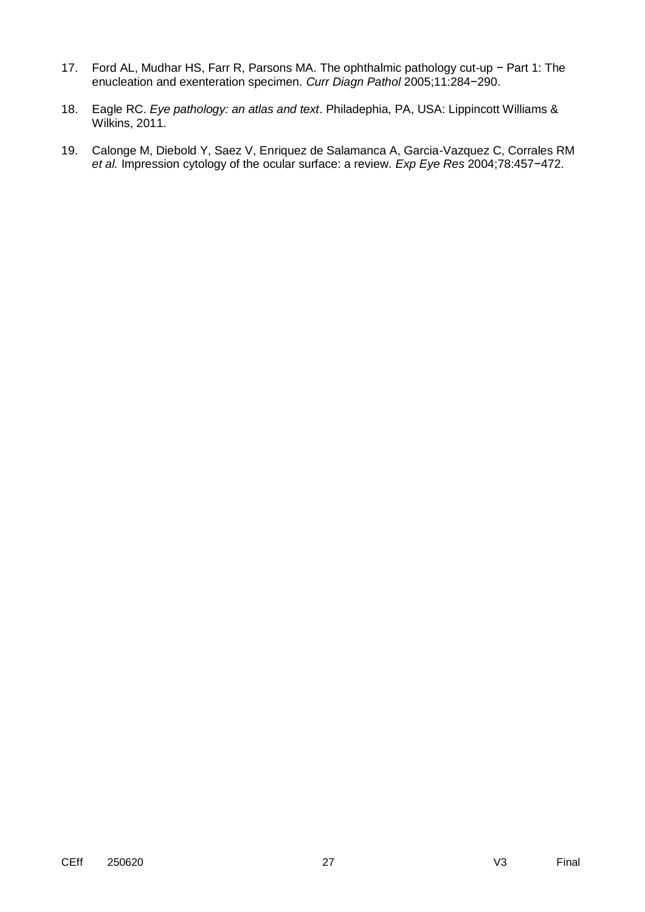- 17. Ford AL, Mudhar HS, Farr R, Parsons MA. The ophthalmic pathology cut-up − Part 1: The enucleation and exenteration specimen. *Curr Diagn Pathol* 2005;11:284−290.
- 18. Eagle RC. *Eye pathology: an atlas and text*. Philadephia, PA, USA: Lippincott Williams & Wilkins, 2011.
- 19. Calonge M, Diebold Y, Saez V, Enriquez de Salamanca A, Garcia-Vazquez C, Corrales RM *et al.* Impression cytology of the ocular surface: a review. *Exp Eye Res* 2004;78:457−472.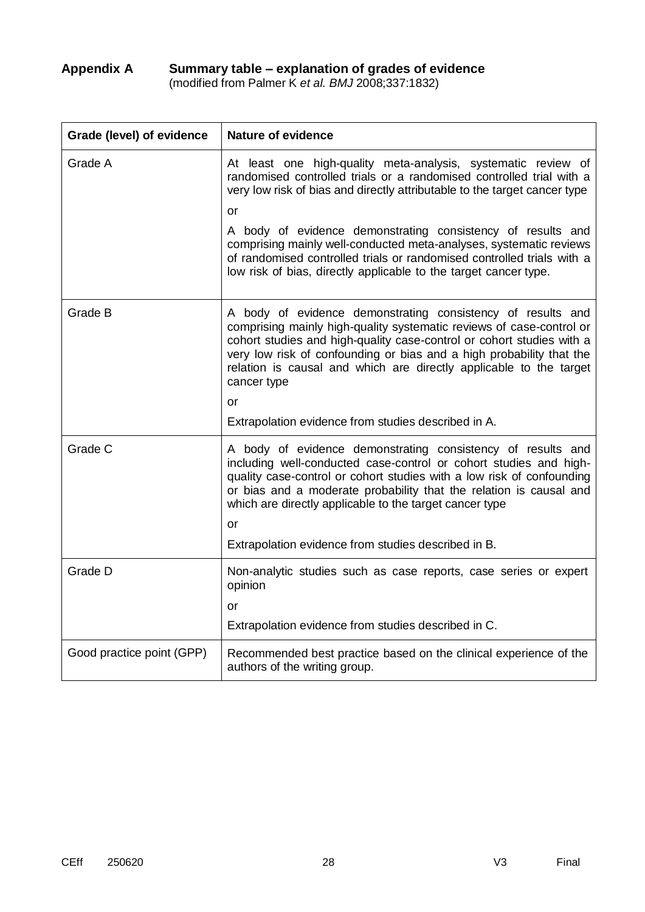# **Appendix A Summary table – explanation of grades of evidence**

(modified from Palmer K *et al. BMJ* 2008;337:1832)

| Grade (level) of evidence | <b>Nature of evidence</b>                                                                                                                                                                                                                                                                                                                                                 |  |  |
|---------------------------|---------------------------------------------------------------------------------------------------------------------------------------------------------------------------------------------------------------------------------------------------------------------------------------------------------------------------------------------------------------------------|--|--|
| Grade A                   | At least one high-quality meta-analysis, systematic review of<br>randomised controlled trials or a randomised controlled trial with a<br>very low risk of bias and directly attributable to the target cancer type                                                                                                                                                        |  |  |
|                           | <b>or</b>                                                                                                                                                                                                                                                                                                                                                                 |  |  |
|                           | A body of evidence demonstrating consistency of results and<br>comprising mainly well-conducted meta-analyses, systematic reviews<br>of randomised controlled trials or randomised controlled trials with a<br>low risk of bias, directly applicable to the target cancer type.                                                                                           |  |  |
| Grade B                   | A body of evidence demonstrating consistency of results and<br>comprising mainly high-quality systematic reviews of case-control or<br>cohort studies and high-quality case-control or cohort studies with a<br>very low risk of confounding or bias and a high probability that the<br>relation is causal and which are directly applicable to the target<br>cancer type |  |  |
|                           | or                                                                                                                                                                                                                                                                                                                                                                        |  |  |
|                           | Extrapolation evidence from studies described in A.                                                                                                                                                                                                                                                                                                                       |  |  |
| Grade C                   | A body of evidence demonstrating consistency of results and<br>including well-conducted case-control or cohort studies and high-<br>quality case-control or cohort studies with a low risk of confounding<br>or bias and a moderate probability that the relation is causal and<br>which are directly applicable to the target cancer type                                |  |  |
|                           | or                                                                                                                                                                                                                                                                                                                                                                        |  |  |
|                           | Extrapolation evidence from studies described in B.                                                                                                                                                                                                                                                                                                                       |  |  |
| Grade D                   | Non-analytic studies such as case reports, case series or expert<br>opinion                                                                                                                                                                                                                                                                                               |  |  |
|                           | or                                                                                                                                                                                                                                                                                                                                                                        |  |  |
|                           | Extrapolation evidence from studies described in C.                                                                                                                                                                                                                                                                                                                       |  |  |
| Good practice point (GPP) | Recommended best practice based on the clinical experience of the<br>authors of the writing group.                                                                                                                                                                                                                                                                        |  |  |